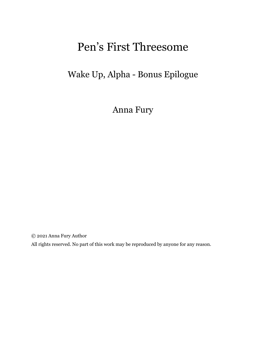## Pen's First Threesome

## Wake Up, Alpha - Bonus Epilogue

Anna Fury

© 2021 Anna Fury Author

All rights reserved. No part of this work may be reproduced by anyone for any reason.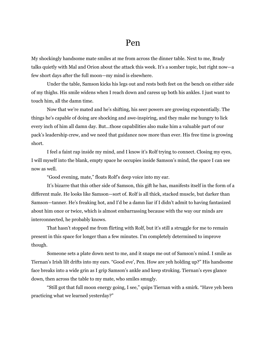My shockingly handsome mate smiles at me from across the dinner table. Next to me, Brady talks quietly with Mal and Orion about the attack this week. It's a somber topic, but right now—a few short days after the full moon—my mind is elsewhere.

Under the table, Samson kicks his legs out and rests both feet on the bench on either side of my thighs. His smile widens when I reach down and caress up both his ankles. I just want to touch him, all the damn time.

Now that we're mated and he's shifting, his seer powers are growing exponentially. The things he's capable of doing are shocking and awe-inspiring, and they make me hungry to lick every inch of him all damn day. But...those capabilities also make him a valuable part of our pack's leadership crew, and we need that guidance now more than ever. His free time is growing short.

I feel a faint rap inside my mind, and I know it's Rolf trying to connect. Closing my eyes, I will myself into the blank, empty space he occupies inside Samson's mind, the space I can see now as well.

"Good evening, mate," floats Rolf's deep voice into my ear.

It's bizarre that this other side of Samson, this gift he has, manifests itself in the form of a different male. He looks like Samson—sort of. Rolf is all thick, stacked muscle, but darker than Samson—tanner. He's freaking hot, and I'd be a damn liar if I didn't admit to having fantasized about him once or twice, which is almost embarrassing because with the way our minds are interconnected, he probably knows.

That hasn't stopped me from flirting with Rolf, but it's still a struggle for me to remain present in this space for longer than a few minutes. I'm completely determined to improve though.

Someone sets a plate down next to me, and it snaps me out of Samson's mind. I smile as Tiernan's Irish lilt drifts into my ears. "Good eve', Pen. How are yeh holding up?" His handsome face breaks into a wide grin as I grip Samson's ankle and keep stroking. Tiernan's eyes glance down, then across the table to my mate, who smiles smugly.

"Still got that full moon energy going, I see," quips Tiernan with a smirk. "Have yeh been practicing what we learned yesterday?"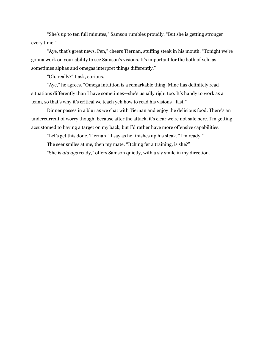"She's up to ten full minutes," Samson rumbles proudly. "But she is getting stronger every time."

"Aye, that's great news, Pen," cheers Tiernan, stuffing steak in his mouth. "Tonight we're gonna work on your ability to see Samson's visions. It's important for the both of yeh, as sometimes alphas and omegas interpret things differently."

"Oh, really?" I ask, curious.

"Aye," he agrees. "Omega intuition is a remarkable thing. Mine has definitely read situations differently than I have sometimes—she's usually right too. It's handy to work as a team, so that's why it's critical we teach yeh how to read his visions—fast."

Dinner passes in a blur as we chat with Tiernan and enjoy the delicious food. There's an undercurrent of worry though, because after the attack, it's clear we're not safe here. I'm getting accustomed to having a target on my back, but I'd rather have more offensive capabilities.

"Let's get this done, Tiernan," I say as he finishes up his steak. "I'm ready." The seer smiles at me, then my mate. "Itching fer a training, is she?" "She is *always* ready," offers Samson quietly, with a sly smile in my direction.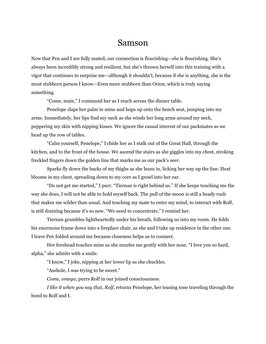## Samson

Now that Pen and I are fully mated, our connection is flourishing—*she* is flourishing. She's always been incredibly strong and resilient, but she's thrown herself into this training with a vigor that continues to surprise me—although it shouldn't, because if she is anything, she is the most stubborn person I know—Even more stubborn than Orion, which is truly saying something.

"Come, mate," I command her as I reach across the dinner table.

Penelope slaps her palm in mine and hops up onto the bench seat, jumping into my arms. Immediately, her lips find my neck as she winds her long arms around my neck, peppering my skin with nipping kisses. We ignore the casual interest of our packmates as we head up the row of tables.

"Calm yourself, Penelope," I chide her as I stalk out of the Great Hall, through the kitchen, and to the front of the house. We ascend the stairs as she giggles into my chest, stroking freckled fingers down the golden line that marks me as our pack's seer.

Sparks fly down the backs of my thighs as she leans in, licking her way up the line. Heat blooms in my chest, spreading down to my core as I growl into her ear.

"Do not get me started," I purr. "Tiernan is right behind us." If she keeps touching me the way she does, I will not be able to hold myself back. The pull of the moon is still a heady rush that makes me wilder than usual. And teaching my mate to enter my mind, to interact with Rolf, is still draining because it's so new. "We need to concentrate," I remind her.

Tiernan grumbles lightheartedly under his breath, following us into my room. He folds his enormous frame down into a fireplace chair, as she and I take up residence in the other one. I leave Pen folded around me because closeness helps us to connect.

Her forehead touches mine as she nuzzles me gently with her nose. "I love you so hard, alpha," she admits with a smile.

"I know," I joke, nipping at her lower lip as she chuckles.

"Asshole, I was trying to be sweet."

*Come, omega,* purrs Rolf in our joined consciousness.

*I like it when you say that, Rolf,* returns Penelope, her teasing tone traveling through the bond to Rolf and I.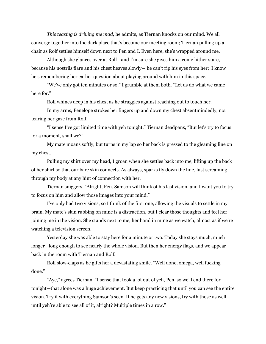*This teasing is driving me mad,* he admits, as Tiernan knocks on our mind. We all converge together into the dark place that's become our meeting room; Tiernan pulling up a chair as Rolf settles himself down next to Pen and I. Even here, she's wrapped around me.

Although she glances over at Rolf—and I'm sure she gives him a come hither stare, because his nostrils flare and his chest heaves slowly— he can't rip his eyes from her; I know he's remembering her earlier question about playing around with him in this space.

"We've only got ten minutes or so," I grumble at them both. "Let us do what we came here for."

Rolf whines deep in his chest as he struggles against reaching out to touch her.

In my arms, Penelope strokes her fingers up and down my chest absentmindedly, not tearing her gaze from Rolf.

"I sense I've got limited time with yeh tonight," Tiernan deadpans, "But let's try to focus for a moment, shall we?"

My mate moans softly, but turns in my lap so her back is pressed to the gleaming line on my chest.

Pulling my shirt over my head, I groan when she settles back into me, lifting up the back of her shirt so that our bare skin connects. As always, sparks fly down the line, lust screaming through my body at any hint of connection with her.

Tiernan sniggers. "Alright, Pen. Samson will think of his last vision, and I want you to try to focus on him and allow those images into your mind."

I've only had two visions, so I think of the first one, allowing the visuals to settle in my brain. My mate's skin rubbing on mine is a distraction, but I clear those thoughts and feel her joining me in the vision. She stands next to me, her hand in mine as we watch, almost as if we're watching a television screen.

Yesterday she was able to stay here for a minute or two. Today she stays much, much longer—long enough to see nearly the whole vision. But then her energy flags, and we appear back in the room with Tiernan and Rolf.

Rolf slow-claps as he gifts her a devastating smile. "Well done, omega, well fucking done."

"Aye," agrees Tiernan. "I sense that took a lot out of yeh, Pen, so we'll end there for tonight—that alone was a huge achievement. But keep practicing that until you can see the entire vision. Try it with everything Samson's seen. If he gets any new visions, try with those as well until yeh're able to see all of it, alright? Multiple times in a row."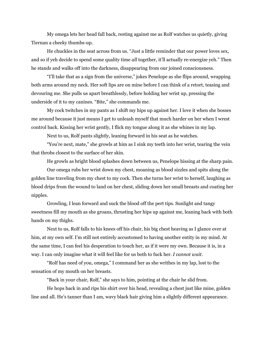My omega lets her head fall back, resting against me as Rolf watches us quietly, giving Tiernan a cheeky thumbs-up.

He chuckles in the seat across from us. "Just a little reminder that our power loves sex, and so if yeh decide to spend some quality time *all* together, it'll actually re-energize yeh." Then he stands and walks off into the darkness, disappearing from our joined consciousness.

"I'll take that as a sign from the universe," jokes Penelope as she flips around, wrapping both arms around my neck. Her soft lips are on mine before I can think of a retort, teasing and devouring me. She pulls us apart breathlessly, before holding her wrist up, pressing the underside of it to my canines. "Bite," she commands me.

My cock twitches in my pants as I shift my hips up against her. I love it when she bosses me around because it just means I get to unleash myself that much harder on her when I wrest control back. Kissing her wrist gently, I flick my tongue along it as she whines in my lap.

Next to us, Rolf pants slightly, leaning forward in his seat as he watches.

"You're next, mate," she growls at him as I sink my teeth into her wrist, tearing the vein that throbs closest to the surface of her skin.

He growls as bright blood splashes down between us, Penelope hissing at the sharp pain.

Our omega rubs her wrist down my chest, moaning as blood sizzles and spits along the golden line traveling from my chest to my cock. Then she turns her wrist to herself, laughing as blood drips from the wound to land on her chest, sliding down her small breasts and coating her nipples.

Growling, I lean forward and suck the blood off the pert tips. Sunlight and tangy sweetness fill my mouth as she groans, thrusting her hips up against me, leaning back with both hands on my thighs.

Next to us, Rolf falls to his knees off his chair, his big chest heaving as I glance over at him, at my own self. I'm still not entirely accustomed to having another entity in my mind. At the same time, I can feel his desperation to touch her, as if it were my own. Because it is, in a way. I can only imagine what it will feel like for us both to fuck her. *I cannot wait.*

"Rolf has need of you, omega," I command her as she writhes in my lap, lost to the sensation of my mouth on her breasts.

"Back in your chair, Rolf," she says to him, pointing at the chair he slid from.

He hops back in and rips his shirt over his head, revealing a chest just like mine, golden line and all. He's tanner than I am, wavy black hair giving him a slightly different appearance.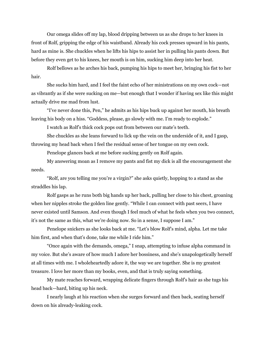Our omega slides off my lap, blood dripping between us as she drops to her knees in front of Rolf, gripping the edge of his waistband. Already his cock presses upward in his pants, hard as mine is. She chuckles when he lifts his hips to assist her in pulling his pants down. But before they even get to his knees, her mouth is on him, sucking him deep into her heat.

Rolf bellows as he arches his back, pumping his hips to meet her, bringing his fist to her hair.

She sucks him hard, and I feel the faint echo of her ministrations on my own cock—not as vibrantly as if she were sucking on me—but enough that I wonder if having sex like this might actually drive me mad from lust.

"I've never done this, Pen," he admits as his hips buck up against her mouth, his breath leaving his body on a hiss. "Goddess, please, go slowly with me. I'm ready to explode."

I watch as Rolf's thick cock pops out from between our mate's teeth.

She chuckles as she leans forward to lick up the vein on the underside of it, and I gasp, throwing my head back when I feel the residual sense of her tongue on my own cock.

Penelope glances back at me before sucking gently on Rolf again.

My answering moan as I remove my pants and fist my dick is all the encouragement she needs.

"Rolf, are you telling me you're a virgin?" she asks quietly, hopping to a stand as she straddles his lap.

Rolf gasps as he runs both big hands up her back, pulling her close to his chest, groaning when her nipples stroke the golden line gently. "While I can connect with past seers, I have never existed until Samson. And even though I feel much of what he feels when you two connect, it's not the same as this, what we're doing now. So in a sense, I suppose I am."

Penelope snickers as she looks back at me. "Let's blow Rolf's mind, alpha. Let me take him first, and when that's done, take me while I ride him."

"Once again with the demands, omega," I snap, attempting to infuse alpha command in my voice. But she's aware of how much I adore her bossiness, and she's unapologetically herself at all times with me. I wholeheartedly adore it, the way we are together. She is my greatest treasure. I love her more than my books, even, and that is truly saying something.

My mate reaches forward, wrapping delicate fingers through Rolf's hair as she tugs his head back—hard, biting up his neck.

I nearly laugh at his reaction when she surges forward and then back, seating herself down on his already-leaking cock.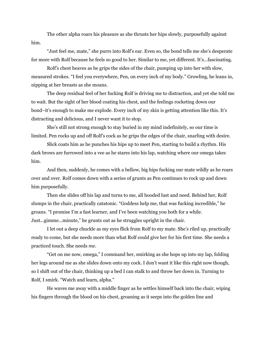The other alpha roars his pleasure as she thrusts her hips slowly, purposefully against him.

"Just feel me, mate," she purrs into Rolf's ear. Even so, the bond tells me she's desperate for more with Rolf because he feels so good to her. Similar to me, yet different. It's...fascinating.

Rolf's chest heaves as he grips the sides of the chair, pumping up into her with slow, measured strokes. "I feel you everywhere, Pen, on every inch of my body." Growling, he leans in, nipping at her breasts as she moans.

The deep residual feel of her fucking Rolf is driving me to distraction, and yet she told me to wait. But the sight of her blood coating his chest, and the feelings rocketing down our bond–it's enough to make me explode. Every inch of my skin is getting attention like this. It's distracting and delicious, and I never want it to stop.

She's still not strong enough to stay buried in my mind indefinitely, so our time is limited. Pen rocks up and off Rolf's cock as he grips the edges of the chair, snarling with desire.

Slick coats him as he punches his hips up to meet Pen, starting to build a rhythm. His dark brows are furrowed into a vee as he stares into his lap, watching where our omega takes him.

And then, suddenly, he comes with a bellow, big hips fucking our mate wildly as he roars over and over. Rolf comes down with a series of grunts as Pen continues to rock up and down him purposefully.

Then she slides off his lap and turns to me, all hooded lust and need. Behind her, Rolf slumps in the chair, practically catatonic. "Goddess help me, that was fucking incredible," he groans. "I promise I'm a fast learner, and I've been watching you both for a while. Just...gimme...minute," he grunts out as he struggles upright in the chair.

I let out a deep chuckle as my eyes flick from Rolf to my mate. She's riled up, practically ready to come, but she needs more than what Rolf could give her for his first time. She needs a practiced touch. She needs *me*.

"Get on me now, omega," I command her, smirking as she hops up into my lap, folding her legs around me as she slides down onto my cock. I don't want it like this right now though, so I shift out of the chair, thinking up a bed I can stalk to and throw her down in. Turning to Rolf, I smirk. "Watch and learn, alpha."

He waves me away with a middle finger as he settles himself back into the chair, wiping his fingers through the blood on his chest, groaning as it seeps into the golden line and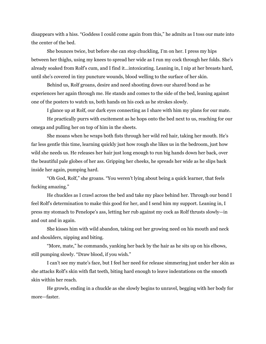disappears with a hiss. "Goddess I could come again from this," he admits as I toss our mate into the center of the bed.

She bounces twice, but before she can stop chuckling, I'm on her. I press my hips between her thighs, using my knees to spread her wide as I run my cock through her folds. She's already soaked from Rolf's cum, and I find it...intoxicating. Leaning in, I nip at her breasts hard, until she's covered in tiny puncture wounds, blood welling to the surface of her skin.

Behind us, Rolf groans, desire and need shooting down our shared bond as he experiences her again through me. He stands and comes to the side of the bed, leaning against one of the posters to watch us, both hands on his cock as he strokes slowly.

I glance up at Rolf, our dark eyes connecting as I share with him my plans for our mate.

He practically purrs with excitement as he hops onto the bed next to us, reaching for our omega and pulling her on top of him in the sheets.

She moans when he wraps both fists through her wild red hair, taking her mouth. He's far less gentle this time, learning quickly just how rough she likes us in the bedroom, just how wild she needs us. He releases her hair just long enough to run big hands down her back, over the beautiful pale globes of her ass. Gripping her cheeks, he spreads her wide as he slips back inside her again, pumping hard.

"Oh God, Rolf," she groans. "You weren't lying about being a quick learner, that feels fucking amazing."

He chuckles as I crawl across the bed and take my place behind her. Through our bond I feel Rolf's determination to make this good for her, and I send him my support. Leaning in, I press my stomach to Penelope's ass, letting her rub against my cock as Rolf thrusts slowly—in and out and in again.

She kisses him with wild abandon, taking out her growing need on his mouth and neck and shoulders, nipping and biting.

"More, mate," he commands, yanking her back by the hair as he sits up on his elbows, still pumping slowly. "Draw blood, if you wish."

I can't see my mate's face, but I feel her need for release simmering just under her skin as she attacks Rolf's skin with flat teeth, biting hard enough to leave indentations on the smooth skin within her reach.

He growls, ending in a chuckle as she slowly begins to unravel, begging with her body for more—faster.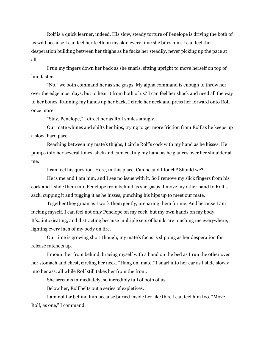Rolf is a quick learner, indeed. His slow, steady torture of Penelope is driving the both of us wild because I can feel her teeth on my skin every time she bites him. I can feel the desperation building between her thighs as he fucks her steadily, never picking up the pace at all.

I run my fingers down her back as she snarls, sitting upright to move herself on top of him faster.

"No," we both command her as she gasps. My alpha command is enough to throw her over the edge most days, but to hear it from both of us? I can feel her shock and need all the way to her bones. Running my hands up her back, I circle her neck and press her forward onto Rolf once more.

"Stay, Penelope," I direct her as Rolf smiles smugly.

Our mate whines and shifts her hips, trying to get more friction from Rolf as he keeps up a slow, hard pace.

Reaching between my mate's thighs, I circle Rolf's cock with my hand as he hisses. He pumps into her several times, slick and cum coating my hand as he glances over her shoulder at me.

I can feel his question. Here, in this place. Can he and I touch? Should we?

He is me and I am him, and I see no issue with it. So I remove my slick fingers from his cock and I slide them into Penelope from behind as she gasps. I move my other hand to Rolf's sack, cupping it and tugging it as he hisses, punching his hips up to meet our mate.

Together they groan as I work them gently, preparing them for me. And because I am fucking myself, I can feel not only Penelope on my cock, but my own hands on my body. It's...intoxicating, and distracting because multiple sets of hands are touching me everywhere, lighting every inch of my body on fire.

Our time is growing short though, my mate's focus is slipping as her desperation for release ratchets up.

I mount her from behind, bracing myself with a hand on the bed as I run the other over her stomach and chest, circling her neck. "Hang on, mate," I snarl into her ear as I slide slowly into her ass, all while Rolf still takes her from the front.

She screams immediately, so incredibly full of both of us.

Below her, Rolf belts out a series of expletives.

I am not far behind him because buried inside her like this, I can feel him too. "Move, Rolf, as one," I command.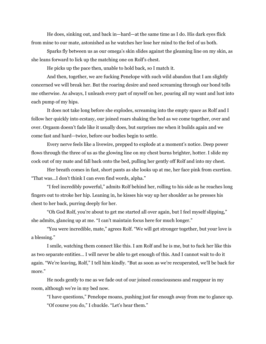He does, sinking out, and back in—hard—at the same time as I do. His dark eyes flick from mine to our mate, astonished as he watches her lose her mind to the feel of us both.

Sparks fly between us as our omega's skin slides against the gleaming line on my skin, as she leans forward to lick up the matching one on Rolf's chest.

He picks up the pace then, unable to hold back, so I match it.

And then, together, we are fucking Penelope with such wild abandon that I am slightly concerned we will break her. But the roaring desire and need screaming through our bond tells me otherwise. As always, I unleash every part of myself on her, pouring all my want and lust into each pump of my hips.

It does not take long before she explodes, screaming into the empty space as Rolf and I follow her quickly into ecstasy, our joined roars shaking the bed as we come together, over and over. Orgasm doesn't fade like it usually does, but surprises me when it builds again and we come fast and hard—twice, before our bodies begin to settle.

Every nerve feels like a livewire, prepped to explode at a moment's notice. Deep power flows through the three of us as the glowing line on my chest burns brighter, hotter. I slide my cock out of my mate and fall back onto the bed, pulling her gently off Rolf and into my chest.

Her breath comes in fast, short pants as she looks up at me, her face pink from exertion. "That was...I don't think I can even find words, alpha."

"I feel incredibly powerful," admits Rolf behind her, rolling to his side as he reaches long fingers out to stroke her hip. Leaning in, he kisses his way up her shoulder as he presses his chest to her back, purring deeply for her.

"Oh God Rolf, you're about to get me started all over again, but I feel myself slipping," she admits, glancing up at me. "I can't maintain focus here for much longer."

"You were incredible, mate," agrees Rolf. "We will get stronger together, but your love is a blessing."

I smile, watching them connect like this. I am Rolf and he is me, but to fuck her like this as two separate entities… I will never be able to get enough of this. And I cannot wait to do it again. "We're leaving, Rolf," I tell him kindly. "But as soon as we're recuperated, we'll be back for more."

He nods gently to me as we fade out of our joined consciousness and reappear in my room, although we're in my bed now.

"I have questions," Penelope moans, pushing just far enough away from me to glance up. "Of course you do," I chuckle. "Let's hear them."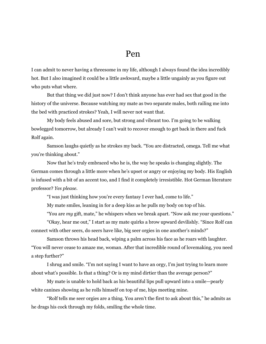## Pen

I can admit to never having a threesome in my life, although I always found the idea incredibly hot. But I also imagined it could be a little awkward, maybe a little ungainly as you figure out who puts what where.

But that thing we did just now? I don't think anyone has ever had sex that good in the history of the universe. Because watching my mate as two separate males, both railing me into the bed with practiced strokes? Yeah, I will never not want that.

My body feels abused and sore, but strong and vibrant too. I'm going to be walking bowlegged tomorrow, but already I can't wait to recover enough to get back in there and fuck Rolf again.

Samson laughs quietly as he strokes my back. "You are distracted, omega. Tell me what you're thinking about."

Now that he's truly embraced who he is, the way he speaks is changing slightly. The German comes through a little more when he's upset or angry or enjoying my body. His English is infused with a bit of an accent too, and I find it completely irresistible. Hot German literature professor? *Yes please.*

"I was just thinking how you're every fantasy I ever had, come to life."

My mate smiles, leaning in for a deep kiss as he pulls my body on top of his.

"You are *my* gift, mate," he whispers when we break apart. "Now ask me your questions."

"Okay, hear me out," I start as my mate quirks a brow upward devilishly. "Since Rolf can connect with other seers, do seers have like, big seer orgies in one another's minds?"

Samson throws his head back, wiping a palm across his face as he roars with laughter. "You will never cease to amaze me, woman. After that incredible round of lovemaking, you need a step further?"

I shrug and smile. "I'm not saying I want to have an orgy, I'm just trying to learn more about what's possible. Is that a thing? Or is my mind dirtier than the average person?"

My mate is unable to hold back as his beautiful lips pull upward into a smile—pearly white canines showing as he rolls himself on top of me, hips meeting mine.

"Rolf tells me seer orgies are a thing. You aren't the first to ask about this," he admits as he drags his cock through my folds, smiling the whole time.